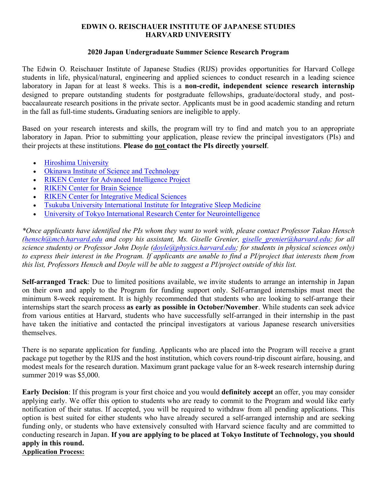## **EDWIN O. REISCHAUER INSTITUTE OF JAPANESE STUDIES HARVARD UNIVERSITY**

## **2020 Japan Undergraduate Summer Science Research Program**

The Edwin O. Reischauer Institute of Japanese Studies (RIJS) provides opportunities for Harvard College students in life, physical/natural, engineering and applied sciences to conduct research in a leading science laboratory in Japan for at least 8 weeks. This is a **non-credit, independent science research internship** designed to prepare outstanding students for postgraduate fellowships, graduate/doctoral study, and postbaccalaureate research positions in the private sector. Applicants must be in good academic standing and return in the fall as full-time students**.** Graduating seniors are ineligible to apply.

Based on your research interests and skills, the program will try to find and match you to an appropriate laboratory in Japan. Prior to submitting your application, please review the principal investigators (PIs) and their projects at these institutions. **Please do not contact the PIs directly yourself**.

- Hiroshima University
- Okinawa Institute of Science and Technology
- RIKEN Center for Advanced Intelligence Project
- RIKEN Center for Brain Science
- RIKEN Center for Integrative Medical Sciences
- Tsukuba University International Institute for Integrative Sleep Medicine
- University of Tokyo International Research Center for Neurointelligence

*\*Once applicants have identified the PIs whom they want to work with, please contact Professor Takao Hensch (hensch@mcb.harvard.edu and copy his assistant, Ms. Giselle Grenier, giselle\_grenier@harvard.edu; for all science students) or Professor John Doyle (doyle@physics.harvard.edu; for students in physical sciences only)* to express their interest in the Program. If applicants are unable to find a PI/project that interests them from *this list, Professors Hensch and Doyle will be able to suggest a PI/project outside of this list.*

**Self-arranged Track**: Due to limited positions available, we invite students to arrange an internship in Japan on their own and apply to the Program for funding support only. Self-arranged internships must meet the minimum 8-week requirement. It is highly recommended that students who are looking to self-arrange their internships start the search process **as early as possible in October/November**. While students can seek advice from various entities at Harvard, students who have successfully self-arranged in their internship in the past have taken the initiative and contacted the principal investigators at various Japanese research universities themselves.

There is no separate application for funding. Applicants who are placed into the Program will receive a grant package put together by the RIJS and the host institution, which covers round-trip discount airfare, housing, and modest meals for the research duration. Maximum grant package value for an 8-week research internship during summer 2019 was \$5,000.

**Early Decision**: If this program is your first choice and you would **definitely accept** an offer, you may consider applying early. We offer this option to students who are ready to commit to the Program and would like early notification of their status. If accepted, you will be required to withdraw from all pending applications. This option is best suited for either students who have already secured a self-arranged internship and are seeking funding only, or students who have extensively consulted with Harvard science faculty and are committed to conducting research in Japan. **If you are applying to be placed at Tokyo Institute of Technology, you should apply in this round.**

**Application Process:**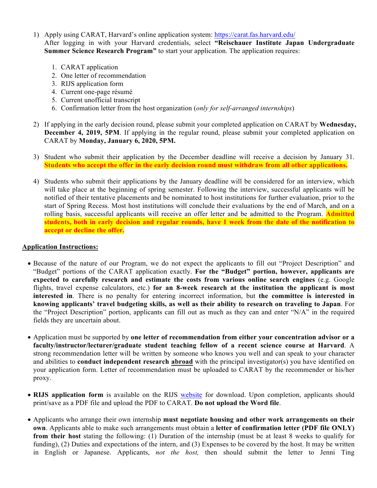- 1) Apply using CARAT, Harvard's online application system: https://carat.fas.harvard.edu/ After logging in with your Harvard credentials, select **"Reischauer Institute Japan Undergraduate Summer Science Research Program"** to start your application. The application requires:
	- 1. CARAT application
	- 2. One letter of recommendation
	- 3. RIJS application form
	- 4. Current one-page résumé
	- 5. Current unofficial transcript
	- 6. Confirmation letter from the host organization (*only for self-arranged internships*)
- 2) If applying in the early decision round, please submit your completed application on CARAT by **Wednesday, December 4, 2019, 5PM**. If applying in the regular round, please submit your completed application on CARAT by **Monday, January 6, 2020, 5PM.**
- 3) Student who submit their application by the December deadline will receive a decision by January 31. **Students who accept the offer in the early decision round must withdraw from all other applications.**
- 4) Students who submit their applications by the January deadline will be considered for an interview, which will take place at the beginning of spring semester. Following the interview, successful applicants will be notified of their tentative placements and be nominated to host institutions for further evaluation, prior to the start of Spring Recess. Most host institutions will conclude their evaluations by the end of March, and on a rolling basis, successful applicants will receive an offer letter and be admitted to the Program. **Admitted students, both in early decision and regular rounds, have 1 week from the date of the notification to accept or decline the offer.**

## **Application Instructions:**

- Because of the nature of our Program, we do not expect the applicants to fill out "Project Description" and "Budget" portions of the CARAT application exactly. **For the "Budget" portion, however, applicants are expected to carefully research and estimate the costs from various online search engines** (e.g. Google flights, travel expense calculators, etc.) **for an 8-week research at the institution the applicant is most interested in**. There is no penalty for entering incorrect information, but **the committee is interested in knowing applicants' travel budgeting skills, as well as their ability to research on traveling to Japan**. For the "Project Description" portion, applicants can fill out as much as they can and enter "N/A" in the required fields they are uncertain about.
- Application must be supported by **one letter of recommendation from either your concentration advisor or a faculty/instructor/lecturer/graduate student teaching fellow of a recent science course at Harvard**. A strong recommendation letter will be written by someone who knows you well and can speak to your character and abilities to **conduct independent research abroad** with the principal investigator(s) you have identified on your application form. Letter of recommendation must be uploaded to CARAT by the recommender or his/her proxy.
- **RIJS application form** is available on the RIJS website for download. Upon completion, applicants should print/save as a PDF file and upload the PDF to CARAT. **Do not upload the Word file**.
- Applicants who arrange their own internship **must negotiate housing and other work arrangements on their own**. Applicants able to make such arrangements must obtain a **letter of confirmation letter (PDF file ONLY) from their host** stating the following: (1) Duration of the internship (must be at least 8 weeks to qualify for funding), (2) Duties and expectations of the intern, and (3) Expenses to be covered by the host. It may be written in English or Japanese. Applicants, *not the host,* then should submit the letter to Jenni Ting